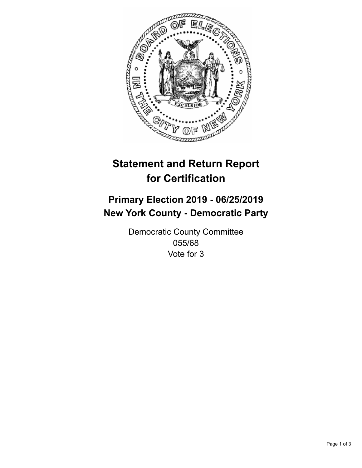

## **Statement and Return Report for Certification**

## **Primary Election 2019 - 06/25/2019 New York County - Democratic Party**

Democratic County Committee 055/68 Vote for 3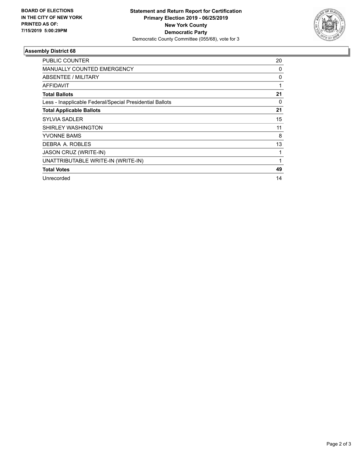

## **Assembly District 68**

| PUBLIC COUNTER                                           | 20 |
|----------------------------------------------------------|----|
| <b>MANUALLY COUNTED EMERGENCY</b>                        | 0  |
| ABSENTEE / MILITARY                                      | 0  |
| <b>AFFIDAVIT</b>                                         | 1  |
| <b>Total Ballots</b>                                     | 21 |
| Less - Inapplicable Federal/Special Presidential Ballots | 0  |
| <b>Total Applicable Ballots</b>                          | 21 |
| <b>SYLVIA SADLER</b>                                     | 15 |
| SHIRLEY WASHINGTON                                       | 11 |
| YVONNE BAMS                                              | 8  |
| DEBRA A. ROBLES                                          | 13 |
| <b>JASON CRUZ (WRITE-IN)</b>                             | 1  |
| UNATTRIBUTABLE WRITE-IN (WRITE-IN)                       | 1  |
| <b>Total Votes</b>                                       | 49 |
| Unrecorded                                               | 14 |